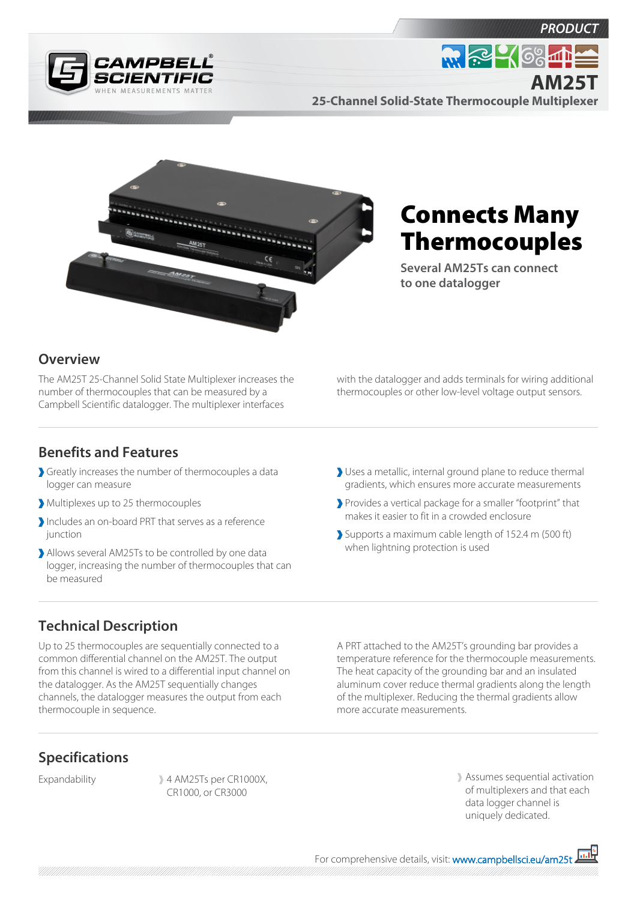





**25-Channel Solid-State Thermocouple Multiplexer**



# Connects Many Thermocouples

**Several AM25Ts can connect to one datalogger**

## **Overview**

The AM25T 25-Channel Solid State Multiplexer increases the number of thermocouples that can be measured by a Campbell Scientific datalogger. The multiplexer interfaces

with the datalogger and adds terminals for wiring additional thermocouples or other low-level voltage output sensors.

#### **Benefits and Features**

- Greatly increases the number of thermocouples a data logger can measure
- Multiplexes up to 25 thermocouples
- Includes an on-board PRT that serves as a reference iunction
- Allows several AM25Ts to be controlled by one data logger, increasing the number of thermocouples that can be measured
- Uses a metallic, internal ground plane to reduce thermal gradients, which ensures more accurate measurements
- Provides a vertical package for a smaller "footprint" that makes it easier to fit in a crowded enclosure
- Supports a maximum cable length of 152.4 m (500 ft) when lightning protection is used

# **Technical Description**

Up to 25 thermocouples are sequentially connected to a common differential channel on the AM25T. The output from this channel is wired to a differential input channel on the datalogger. As the AM25T sequentially changes channels, the datalogger measures the output from each thermocouple in sequence.

A PRT attached to the AM25T's grounding bar provides a temperature reference for the thermocouple measurements. The heat capacity of the grounding bar and an insulated aluminum cover reduce thermal gradients along the length of the multiplexer. Reducing the thermal gradients allow more accurate measurements.

## **Specifications**

Expandability 4 AM25Ts per CR1000X, CR1000, or CR3000

Assumes sequential activation of multiplexers and that each data logger channel is uniquely dedicated.